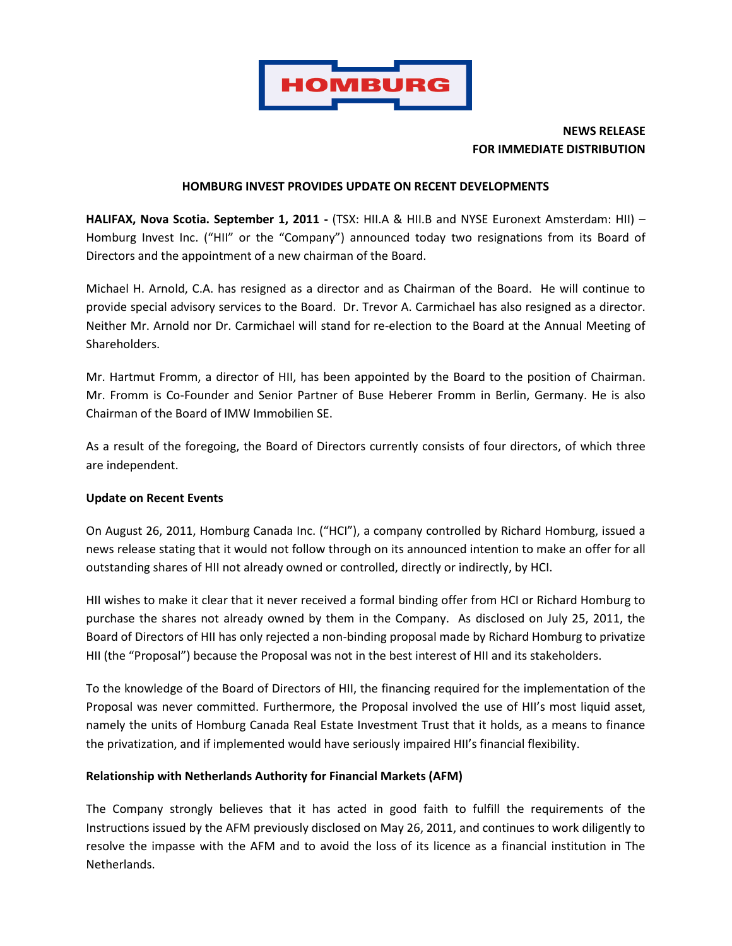

# **NEWS RELEASE FOR IMMEDIATE DISTRIBUTION**

#### **HOMBURG INVEST PROVIDES UPDATE ON RECENT DEVELOPMENTS**

**HALIFAX, Nova Scotia. September 1, 2011 -** (TSX: HII.A & HII.B and NYSE Euronext Amsterdam: HII) – Homburg Invest Inc. ("HII" or the "Company") announced today two resignations from its Board of Directors and the appointment of a new chairman of the Board.

Michael H. Arnold, C.A. has resigned as a director and as Chairman of the Board. He will continue to provide special advisory services to the Board. Dr. Trevor A. Carmichael has also resigned as a director. Neither Mr. Arnold nor Dr. Carmichael will stand for re-election to the Board at the Annual Meeting of Shareholders.

Mr. Hartmut Fromm, a director of HII, has been appointed by the Board to the position of Chairman. Mr. Fromm is Co-Founder and Senior Partner of Buse Heberer Fromm in Berlin, Germany. He is also Chairman of the Board of IMW Immobilien SE.

As a result of the foregoing, the Board of Directors currently consists of four directors, of which three are independent.

#### **Update on Recent Events**

On August 26, 2011, Homburg Canada Inc. ("HCI"), a company controlled by Richard Homburg, issued a news release stating that it would not follow through on its announced intention to make an offer for all outstanding shares of HII not already owned or controlled, directly or indirectly, by HCI.

HII wishes to make it clear that it never received a formal binding offer from HCI or Richard Homburg to purchase the shares not already owned by them in the Company. As disclosed on July 25, 2011, the Board of Directors of HII has only rejected a non-binding proposal made by Richard Homburg to privatize HII (the "Proposal") because the Proposal was not in the best interest of HII and its stakeholders.

To the knowledge of the Board of Directors of HII, the financing required for the implementation of the Proposal was never committed. Furthermore, the Proposal involved the use of HII's most liquid asset, namely the units of Homburg Canada Real Estate Investment Trust that it holds, as a means to finance the privatization, and if implemented would have seriously impaired HII's financial flexibility.

#### **Relationship with Netherlands Authority for Financial Markets (AFM)**

The Company strongly believes that it has acted in good faith to fulfill the requirements of the Instructions issued by the AFM previously disclosed on May 26, 2011, and continues to work diligently to resolve the impasse with the AFM and to avoid the loss of its licence as a financial institution in The Netherlands.